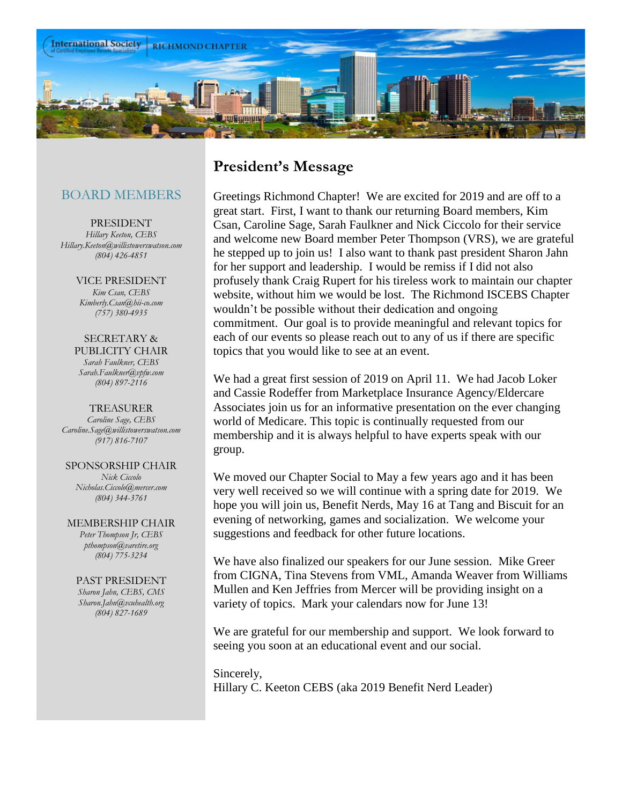

## BOARD MEMBERS

PRESIDENT *Hillary Keeton, CEBS Hillary.Keeton@willistowerswatson.com (804) 426-4851*

> VICE PRESIDENT *Kim Csan, CEBS Kimberly.Csan@hii-co.com (757) 380-4935*

SECRETARY & PUBLICITY CHAIR *Sarah Faulkner, CEBS Sarah.Faulkner@vpfw.com (804) 897-2116*

TREASURER *Caroline Sage, CEBS Caroline.Sage@willistowerswatson.com (917) 816-7107*

SPONSORSHIP CHAIR *Nick Ciccolo Nicholas.Ciccolo@mercer.com (804) 344-3761*

MEMBERSHIP CHAIR *Peter Thompson Jr, CEBS pthompson@varetire.org (804) 775-3234*

PAST PRESIDENT *Sharon Jahn, CEBS, CMS Sharon.Jahn@vcuhealth.org (804) 827-1689*

## **President's Message**

Greetings Richmond Chapter! We are excited for 2019 and are off to a great start. First, I want to thank our returning Board members, Kim Csan, Caroline Sage, Sarah Faulkner and Nick Ciccolo for their service and welcome new Board member Peter Thompson (VRS), we are grateful he stepped up to join us! I also want to thank past president Sharon Jahn for her support and leadership. I would be remiss if I did not also profusely thank Craig Rupert for his tireless work to maintain our chapter website, without him we would be lost. The Richmond ISCEBS Chapter wouldn't be possible without their dedication and ongoing commitment. Our goal is to provide meaningful and relevant topics for each of our events so please reach out to any of us if there are specific topics that you would like to see at an event.

We had a great first session of 2019 on April 11. We had Jacob Loker and Cassie Rodeffer from Marketplace Insurance Agency/Eldercare Associates join us for an informative presentation on the ever changing world of Medicare. This topic is continually requested from our membership and it is always helpful to have experts speak with our group.

We moved our Chapter Social to May a few years ago and it has been very well received so we will continue with a spring date for 2019. We hope you will join us, Benefit Nerds, May 16 at Tang and Biscuit for an evening of networking, games and socialization. We welcome your suggestions and feedback for other future locations.

We have also finalized our speakers for our June session. Mike Greer from CIGNA, Tina Stevens from VML, Amanda Weaver from Williams Mullen and Ken Jeffries from Mercer will be providing insight on a variety of topics. Mark your calendars now for June 13!

We are grateful for our membership and support. We look forward to seeing you soon at an educational event and our social.

Sincerely, Hillary C. Keeton CEBS (aka 2019 Benefit Nerd Leader)